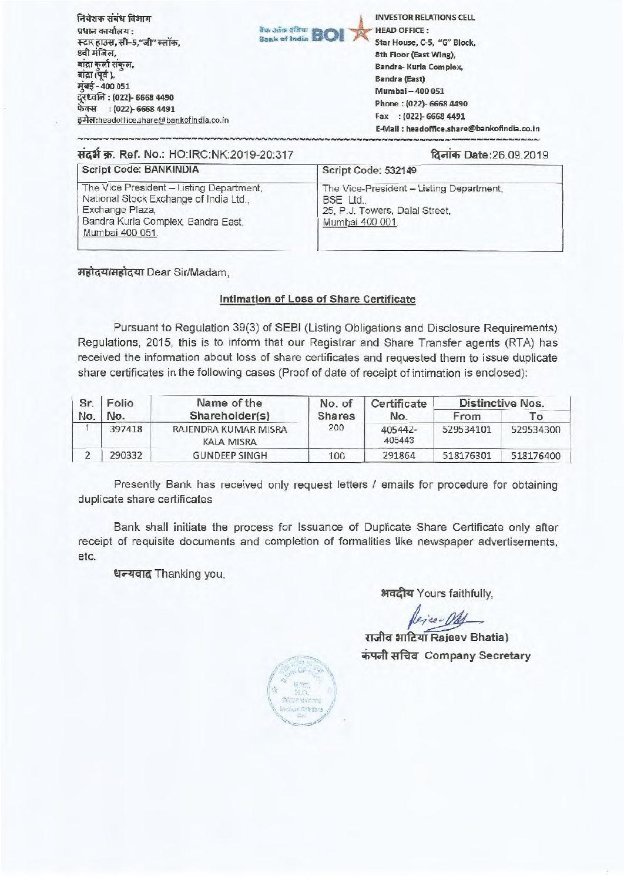| निवेशक संबंध विभाग                                                                                     | <b>INVESTOR RELATIONS CELL</b>                                                                           |                                            |
|--------------------------------------------------------------------------------------------------------|----------------------------------------------------------------------------------------------------------|--------------------------------------------|
| प्रधान कार्यालय :<br>स्टार हाउस, सी-5,"जी" ब्लॉक,<br>8वी मंजिल,                                        | <b>Bank of India BOI</b><br><b>HEAD OFFICE:</b><br>Star House, C-5, "G" Block,<br>8th Floor (East Wing), |                                            |
| बाद्रा कर्ला संकल,<br>बाद्रा (पूर्व),<br>मुंबई - 400 051                                               | Bandra-Kurla Complex,<br>Bandra (East)<br>Mumbai - 400 051                                               |                                            |
| दूरध्वनि : (022)- 6668 4490<br>फेक्स     : (022)- 6668 4491<br>इमेल:headoffice.share@bankofindia.co.in | Phone: (022)-6668 4490<br>Fax: (022)-6668 4491                                                           | E-Mail: headoffice.share@bankofindia.co.in |

### **4-411- W. Ref. No.:** HO:IRC:NK:2019-20:317 Refich Date:26.09.2019

| Script Code: BANKINDIA                                                                                                                                         | Script Code: 532149                                                                                       |
|----------------------------------------------------------------------------------------------------------------------------------------------------------------|-----------------------------------------------------------------------------------------------------------|
| The Vice President - Listing Department,<br>National Stock Exchange of India Ltd.,<br>Exchange Plaza,<br>Bandra Kurla Complex, Bandra East,<br>Mumbai 400 051. | The Vice-President - Listing Department,<br>BSE Ltd.<br>25, P.J. Towers, Dalal Street,<br>Mumbai 400 001. |

महोदय/महोदया Dear Sir/Madam,

### **Intimation of Loss of Share Certificate**

Pursuant to Regulation 39(3) of SEBI (Listing Obligations and Disclosure Requirements) Regulations, 2015, this is to inform that our Registrar and Share Transfer agents (RTA) has received the information about loss of share certificates and requested them to issue duplicate share certificates in the following cases (Proof of date of receipt of intimation is enclosed):

| Sr. Folio |        | Name of the                               | No. of        | Certificate       | Distinctive Nos. |                |  |
|-----------|--------|-------------------------------------------|---------------|-------------------|------------------|----------------|--|
| No.       | No.    | Shareholder(s)                            | <b>Shares</b> | No.               | From             | $\overline{1}$ |  |
|           | 397418 | RAJENDRA KUMAR MISRA<br><b>KALA MISRA</b> | 200           | 405442-<br>405443 | 529534101        | 529534300      |  |
|           | 290332 | <b>GUNDEEP SINGH</b>                      | 100           | 291864            | 518176301        | 518176400      |  |

Presently Bank has received only request letters / emails for procedure for obtaining duplicate share certificates

Bank shall initiate the process for Issuance of Duplicate Share Certificate only after receipt of requisite documents and completion of formalities like newspaper advertisements, etc.

धन्यवाद Thanking you,

अवदीय Yours faithfully,

**Uurra RazitRaieev Bhatia)**   $\overline{a}$  **iFindal Company Secretary** 

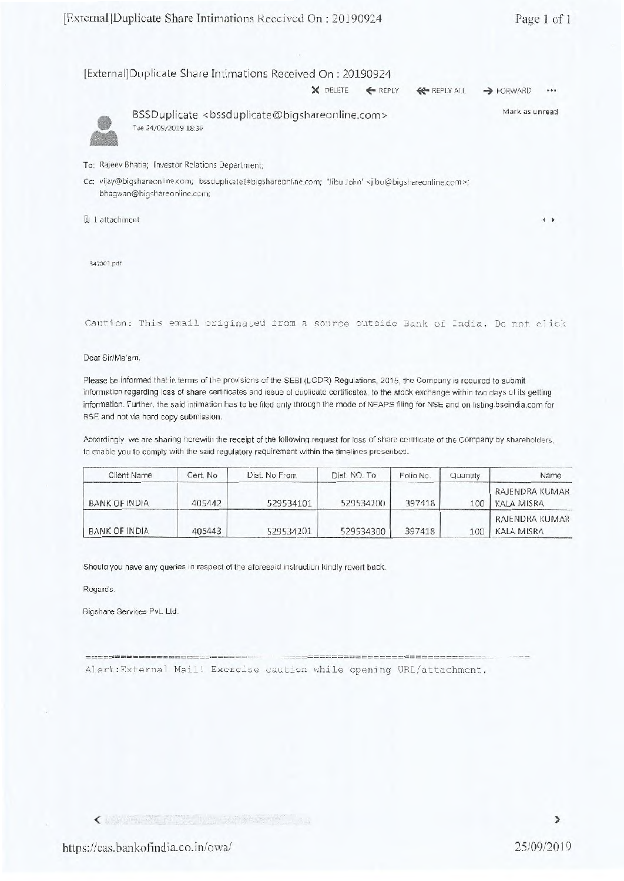| [External]Duplicate Share Intimations Received On: 20190924 |  |                                                                            |  |
|-------------------------------------------------------------|--|----------------------------------------------------------------------------|--|
|                                                             |  | $X$ DELETE $\leftarrow$ REPLY $\leftarrow$ REPLY ALL $\rightarrow$ FORWARD |  |



BSSDuplicate <bssduplicate@bigshareonline.com> Tue 24/09/2019 18:36 Mark as unread

To: Rajeev Bhatia; Investor Relations Department;

Cc: vijay@bigshareonline.com; bssduplicate@bigshareonline.com; 'Jibu John' <jibu@bigshareonline.com>; bhagwan@bigshareonline.com;

B 1 attachment **<sup>4</sup>**

347001.pdf

Caution: This email originated from a source outside Bank of India. Do not click

### Dear Sir/Ma'am,

Please be informed that in terms of the provisions of the SEBI (LODR) Regulations, 2015, the Company is required to submit information regarding loss of share certificates and issue of duplicate certificates. to the stock exchange within two days of its getting information. Further, the said intimation has to be filed only through the mode of NEAPS filing for NSE and on listing.bseindia.com for BSE and not via hard copy submission.

Accordingly, we are sharing herewith the receipt of the following request for loss of share certificate of the Company by shareholders, to enable you to comply with the said regulatory requirement within the timelines prescribed.

| Client Name          | Cert. No | Dist. No From | Dist. NO. To | Folio No. | Quantily         | Name                         |
|----------------------|----------|---------------|--------------|-----------|------------------|------------------------------|
| <b>BANK OF INDIA</b> | 405442   | 529534101     | 529534200    | 397418    | 100 <sub>1</sub> | RAJENDRA KUMAR<br>KALA MISRA |
| BANK OF INDIA        | 405443   | 529534201     | 529534300    | 397418    | 100              | RAJENDRA KUMAR<br>KALA MISRA |

Should you have any queries in respect of the aforesaid instruction kindly revert back.

Regards,

Bigshare Services Pvt. Ltd.

Alert:External Mail! Exercise caution while opening URL/attachment.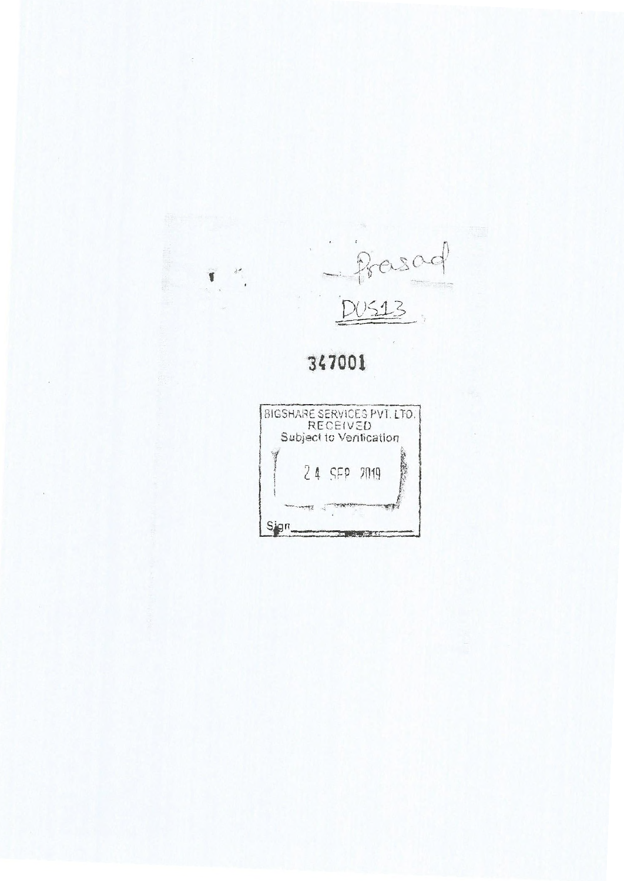

# **347001**

 $\mathcal{X}^{\mathcal{A}}$ 

 $\blacksquare$  $\bar{\chi}$ 

 $\overline{\phantom{a}}$ 

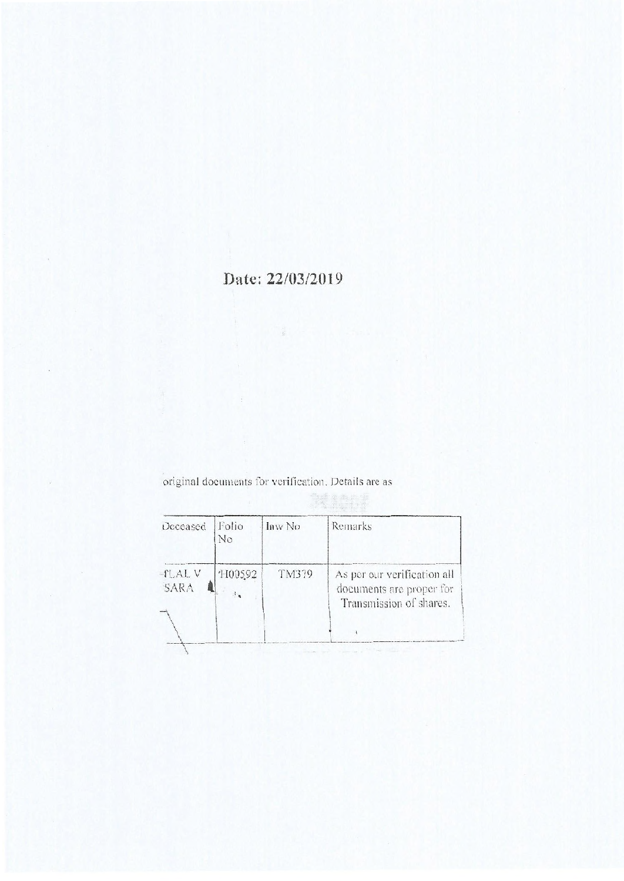# Date: 22/03/2019

Original documents for verification Details are as

| Deceased              | Folio<br>No | Inw No | Remarks                                                                            |
|-----------------------|-------------|--------|------------------------------------------------------------------------------------|
| <b>TLAL V</b><br>SARA | 1100592     | TM379  | As per our verification all<br>documents are proper for<br>Transmission of shares. |
|                       |             |        |                                                                                    |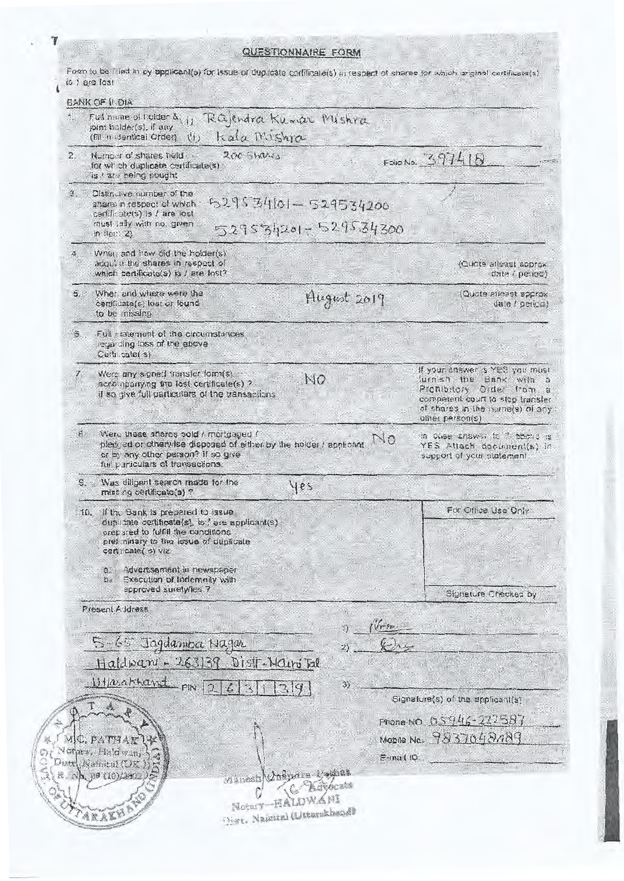QUESTIONNAIRE FORM

Form to be filled in by applicant(s) for issue of duplicate certificate(s) in respect of shares for which ariginal certificate(s)

|                  | Full name of holder S,<br>joint holder(s), if any.<br>Kala Mishra<br>(Eff. in identical Order).<br>(1)                                                                                       | Rajendra Kumar Mishra                                            |            |                                                                                                                                                                                  |
|------------------|----------------------------------------------------------------------------------------------------------------------------------------------------------------------------------------------|------------------------------------------------------------------|------------|----------------------------------------------------------------------------------------------------------------------------------------------------------------------------------|
| $\overline{2}$ . | $200$ Shares<br>Number of shares held.<br>for which duplicate certificate(s).<br>is I are being sought                                                                                       |                                                                  |            | Folóno. 397418                                                                                                                                                                   |
| 년.               | Olstinclive number of the<br>share in respect of which<br>certificate(s) is / are lost<br>must lally with no. given<br>in $l$ e $(2)$                                                        | 529534101-529534200<br>529534201-529534300                       |            |                                                                                                                                                                                  |
|                  | When and how cid the holder(s)<br>acquire the shares in respect of<br>which certificate(s) is / are lost?                                                                                    |                                                                  |            | (Quote alleast approx<br>data i period)                                                                                                                                          |
| 5.               | When and where were the<br>certificate(s) lost or found<br>to be missing                                                                                                                     | August 2019                                                      |            | Quote alleast approx<br>date / period)                                                                                                                                           |
|                  | Full statement of the circumstances<br>regarding loss of the above<br>Certi cate(s)                                                                                                          |                                                                  |            |                                                                                                                                                                                  |
|                  | Were any signed transfer form(s).<br>accompanying the lost certificate(s) ?<br>if so give full particulars of the transactions                                                               | NQ                                                               |            | If your enswer is YES you must<br>furnish the Bank with a<br>Prohibitory Order from a<br>competent court to stop transfer<br>of shares in the name(s) of any<br>oliter person(s) |
| 8.               | Were these shares sold / mortgaged /<br>pledged or otherwise disposed of either by the holder I applicant<br>or by any other person? if so give<br>full particulars of transactions.         |                                                                  |            | in cuse answer to 7 phone is<br>YES Atlach document(s) in<br>support of your statement                                                                                           |
| S.               | Was diligent search made for the<br>missing certificate(s)?                                                                                                                                  | yes                                                              |            |                                                                                                                                                                                  |
|                  | 10. If the Bank is prepared to issue<br>duplicate certificate(s), is / are applicant(s)<br>orepared to fulfill the conditions<br>preliminary to the issue of duplicate<br>certificate(s) viz |                                                                  |            | For Office Use Only                                                                                                                                                              |
|                  | Advertisement in newspaper<br>$e$ .<br><b>Execution of Indemnity with</b><br>b.<br>approved surety/ies ?                                                                                     |                                                                  |            | Signature Checked by                                                                                                                                                             |
|                  | Present Address                                                                                                                                                                              |                                                                  |            |                                                                                                                                                                                  |
|                  |                                                                                                                                                                                              | 1)                                                               | from       |                                                                                                                                                                                  |
|                  | 5-65 Jagdamber Nagar<br>Haldwaru - 263139 Distr-Nains Tal                                                                                                                                    |                                                                  |            |                                                                                                                                                                                  |
|                  | Utlasakhand FIN                                                                                                                                                                              | 3)                                                               |            | Signature(s) of the applicant(s)                                                                                                                                                 |
|                  | MC, PATHAK<br>other, Haldwan,<br>hatt Namital (UK<br>R. NA 99 (10)/2002                                                                                                                      | Winash Cospora Cochat                                            | E-mail ID. | Phone NO. 05946-222587<br>Mobile No. 9837048089                                                                                                                                  |
|                  | <b>ARAKH</b>                                                                                                                                                                                 | <b>OC SMA</b><br>Notary-HALDWANI<br>Disr. Nainiral (Uttarakhand) |            |                                                                                                                                                                                  |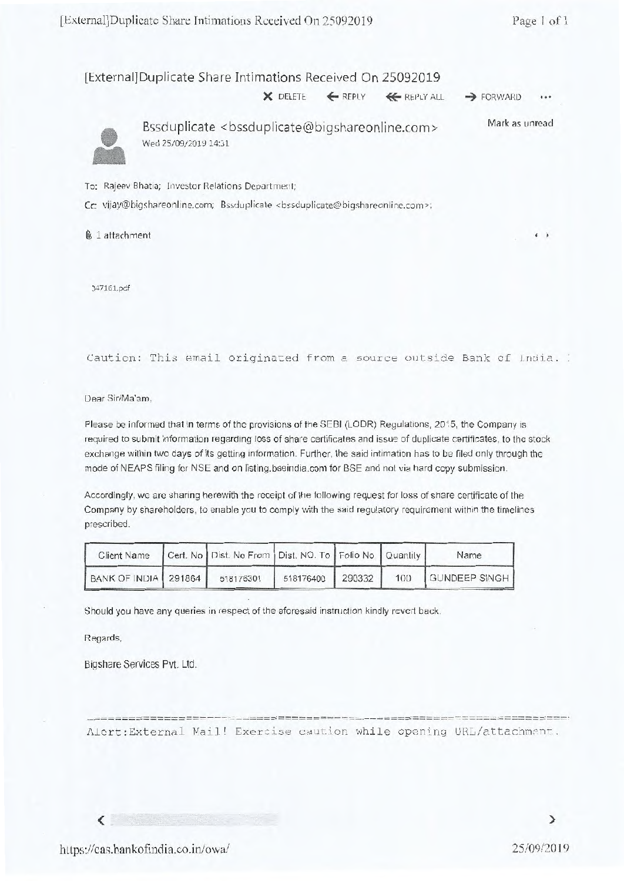### [External] Duplicate Share Intimations Received On 25092019

 $\times$  DELETE  $\leftarrow$  REPLY  $\leftarrow$  REPLY ALL  $\rightarrow$  FORWARD



Bssduplicate <bssduplicate@bigshareonline.com> Wed 25/09/2019 14:31 Mark as unread

To: Rajeev Bhatia; Investor Relations Department;

Cc: vijay@bigshareonline.com; Bssduplicate <bssduplicate@bigshareonline.com>;

1 attachment **4** ►

347161.pdf

Caution: This email originated from a source outside Bank of India.

Dear Sir/Ma'am,

Please be informed that in terms of the provisions of the SEBI (LODR) Regulations, 2015, the Company is required to submit information regarding loss of share certificates and issue of duplicate certificates, to the stock exchange within two days of its getting information. Further, the said intimation has to be filed only through the mode of NEAPS filing for NSE and on listing.bseindia.com for BSE and not via hard copy submission.

Accordingly, we are sharing herewith the receipt of the following request for loss of share certificate of the Company by shareholders, to enable you to comply with the said regulatory requirement within the timelines prescribed.

|                        | Client Name Cert. No   Dist. No From   Dist. NO. To   Folio No.   Quantity |           |        | Name              |
|------------------------|----------------------------------------------------------------------------|-----------|--------|-------------------|
| BANK OF INDIA   291864 | 518176301                                                                  | 518176400 | 290332 | 100 GUNDEEP SINGH |

Should you have any queries in respect of the aforesaid instruction kindly revert back.

Regards,

 $\langle$ 

Bigshare Services Pvt. Ltd.

----------------

Alert:External Mail! Exercise caution while opening URL/attachment.